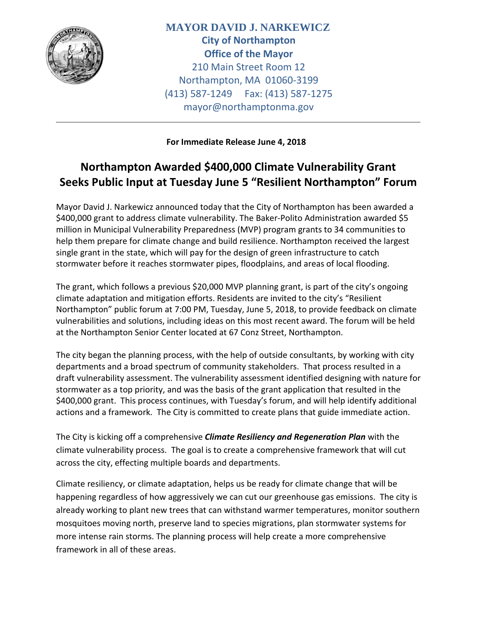

**MAYOR DAVID J. NARKEWICZ City of Northampton Office of the Mayor** 210 Main Street Room 12 Northampton, MA 01060-3199 (413) 587-1249 Fax: (413) 587-1275 mayor@northamptonma.gov

**For Immediate Release June 4, 2018** 

## **Northampton Awarded \$400,000 Climate Vulnerability Grant Seeks Public Input at Tuesday June 5 "Resilient Northampton" Forum**

Mayor David J. Narkewicz announced today that the City of Northampton has been awarded a \$400,000 grant to address climate vulnerability. The Baker-Polito Administration awarded \$5 million in Municipal Vulnerability Preparedness (MVP) program grants to 34 communities to help them prepare for climate change and build resilience. Northampton received the largest single grant in the state, which will pay for the design of green infrastructure to catch stormwater before it reaches stormwater pipes, floodplains, and areas of local flooding.

The grant, which follows a previous \$20,000 MVP planning grant, is part of the city's ongoing climate adaptation and mitigation efforts. Residents are invited to the city's "Resilient Northampton" public forum at 7:00 PM, Tuesday, June 5, 2018, to provide feedback on climate vulnerabilities and solutions, including ideas on this most recent award. The forum will be held at the Northampton Senior Center located at 67 Conz Street, Northampton.

The city began the planning process, with the help of outside consultants, by working with city departments and a broad spectrum of community stakeholders. That process resulted in a draft vulnerability assessment. The vulnerability assessment identified designing with nature for stormwater as a top priority, and was the basis of the grant application that resulted in the \$400,000 grant. This process continues, with Tuesday's forum, and will help identify additional actions and a framework. The City is committed to create plans that guide immediate action.

The City is kicking off a comprehensive *Climate Resiliency and Regeneration Plan* with the climate vulnerability process. The goal is to create a comprehensive framework that will cut across the city, effecting multiple boards and departments.

Climate resiliency, or climate adaptation, helps us be ready for climate change that will be happening regardless of how aggressively we can cut our greenhouse gas emissions. The city is already working to plant new trees that can withstand warmer temperatures, monitor southern mosquitoes moving north, preserve land to species migrations, plan stormwater systems for more intense rain storms. The planning process will help create a more comprehensive framework in all of these areas.